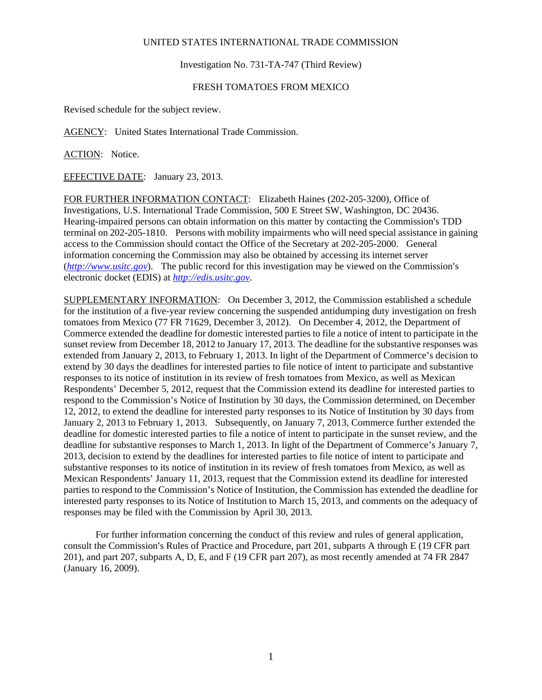## UNITED STATES INTERNATIONAL TRADE COMMISSION

## Investigation No. 731-TA-747 (Third Review)

## FRESH TOMATOES FROM MEXICO

Revised schedule for the subject review.

AGENCY: United States International Trade Commission.

ACTION: Notice.

EFFECTIVE DATE: January 23, 2013.

FOR FURTHER INFORMATION CONTACT: Elizabeth Haines (202-205-3200), Office of Investigations, U.S. International Trade Commission, 500 E Street SW, Washington, DC 20436. Hearing-impaired persons can obtain information on this matter by contacting the Commission's TDD terminal on 202-205-1810. Persons with mobility impairments who will need special assistance in gaining access to the Commission should contact the Office of the Secretary at 202-205-2000. General information concerning the Commission may also be obtained by accessing its internet server  $(http://www.usitc.gov)$ . The public record for this investigation may be viewed on the Commission's electronic docket (EDIS) at *http://edis.usitc.gov*.

SUPPLEMENTARY INFORMATION: On December 3, 2012, the Commission established a schedule for the institution of a five-year review concerning the suspended antidumping duty investigation on fresh tomatoes from Mexico (77 FR 71629, December 3, 2012). On December 4, 2012, the Department of Commerce extended the deadline for domestic interested parties to file a notice of intent to participate in the sunset review from December 18, 2012 to January 17, 2013. The deadline for the substantive responses was extended from January 2, 2013, to February 1, 2013. In light of the Department of Commerce's decision to extend by 30 days the deadlines for interested parties to file notice of intent to participate and substantive responses to its notice of institution in its review of fresh tomatoes from Mexico, as well as Mexican Respondents' December 5, 2012, request that the Commission extend its deadline for interested parties to respond to the Commission's Notice of Institution by 30 days, the Commission determined, on December 12, 2012, to extend the deadline for interested party responses to its Notice of Institution by 30 days from January 2, 2013 to February 1, 2013. Subsequently, on January 7, 2013, Commerce further extended the deadline for domestic interested parties to file a notice of intent to participate in the sunset review, and the deadline for substantive responses to March 1, 2013. In light of the Department of Commerce's January 7, 2013, decision to extend by the deadlines for interested parties to file notice of intent to participate and substantive responses to its notice of institution in its review of fresh tomatoes from Mexico, as well as Mexican Respondents' January 11, 2013, request that the Commission extend its deadline for interested parties to respond to the Commission's Notice of Institution, the Commission has extended the deadline for interested party responses to its Notice of Institution to March 15, 2013, and comments on the adequacy of responses may be filed with the Commission by April 30, 2013.

For further information concerning the conduct of this review and rules of general application, consult the Commission's Rules of Practice and Procedure, part 201, subparts A through E  $(19 \text{ CFR part})$ 201), and part 207, subparts A, D, E, and F (19 CFR part 207), as most recently amended at 74 FR 2847 (January 16, 2009).